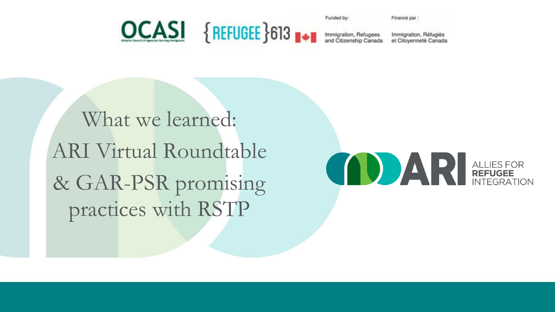

Funded by:

Financé par

Immigration, Réfugiés et Citoyenneté Canada

What we learned: ARI Virtual Roundtable & GAR-PSR promising practices with RSTP

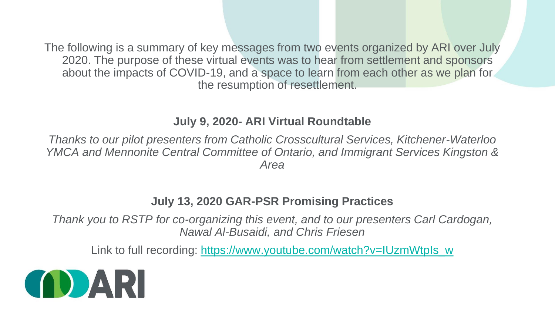The following is a summary of key messages from two events organized by ARI over July 2020. The purpose of these virtual events was to hear from settlement and sponsors about the impacts of COVID-19, and a space to learn from each other as we plan for the resumption of resettlement.

#### **July 9, 2020- ARI Virtual Roundtable**

*Thanks to our pilot presenters from Catholic Crosscultural Services, Kitchener-Waterloo*  YMCA and Mennonite Central Committee of Ontario, and Immigrant Services Kingston & *Area*

#### **July 13, 2020 GAR-PSR Promising Practices**

*Thank you to RSTP for co-organizing this event, and to our presenters Carl Cardogan, Nawal Al-Busaidi, and Chris Friesen*

Link to full recording: [https://www.youtube.com/watch?v=IUzmWtpIs\\_w](https://www.youtube.com/watch?v=IUzmWtpIs_w)

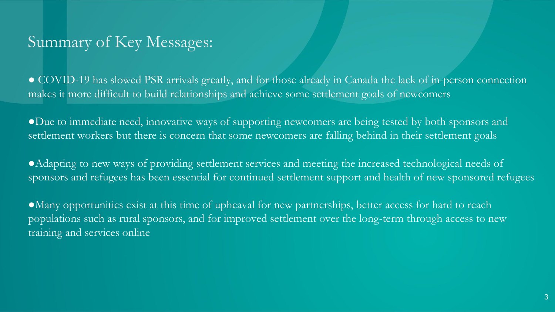## Summary of Key Messages:

● COVID-19 has slowed PSR arrivals greatly, and for those already in Canada the lack of in-person connection makes it more difficult to build relationships and achieve some settlement goals of newcomers

●Due to immediate need, innovative ways of supporting newcomers are being tested by both sponsors and settlement workers but there is concern that some newcomers are falling behind in their settlement goals

●Adapting to new ways of providing settlement services and meeting the increased technological needs of sponsors and refugees has been essential for continued settlement support and health of new sponsored refugees

●Many opportunities exist at this time of upheaval for new partnerships, better access for hard to reach populations such as rural sponsors, and for improved settlement over the long-term through access to new training and services online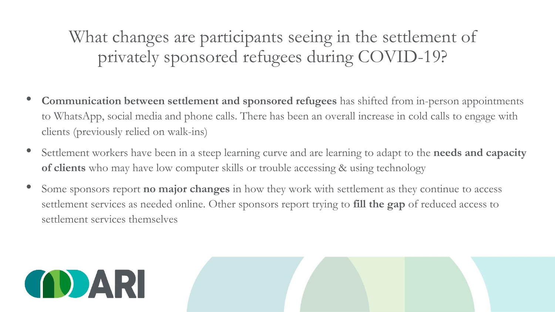What changes are participants seeing in the settlement of privately sponsored refugees during COVID-19?

- **Communication between settlement and sponsored refugees** has shifted from in-person appointments to WhatsApp, social media and phone calls. There has been an overall increase in cold calls to engage with clients (previously relied on walk-ins)
- Settlement workers have been in a steep learning curve and are learning to adapt to the **needs and capacity of clients** who may have low computer skills or trouble accessing & using technology
- Some sponsors report **no major changes** in how they work with settlement as they continue to access settlement services as needed online. Other sponsors report trying to **fill the gap** of reduced access to settlement services themselves

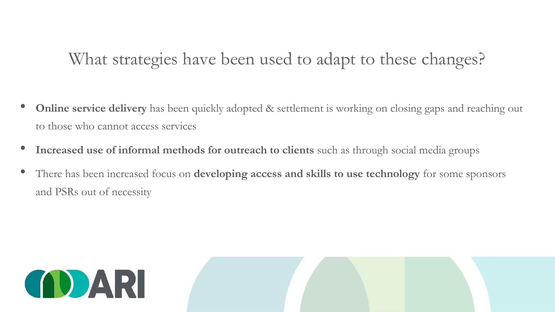# What strategies have been used to adapt to these changes?

- **Online service delivery** has been quickly adopted & settlement is working on closing gaps and reaching out to those who cannot access services
- **Increased use of informal methods for outreach to clients** such as through social media groups
- There has been increased focus on **developing access and skills to use technology** for some sponsors and PSRs out of necessity

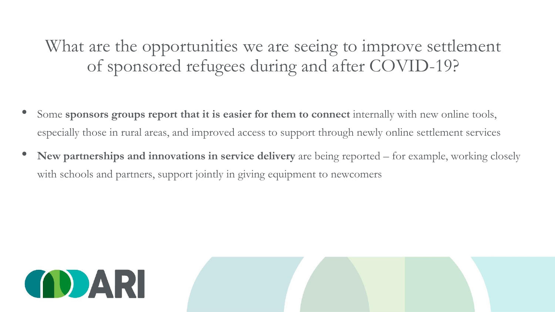What are the opportunities we are seeing to improve settlement of sponsored refugees during and after COVID-19?

- Some sponsors groups report that it is easier for them to connect internally with new online tools, especially those in rural areas, and improved access to support through newly online settlement services
- **New partnerships and innovations in service delivery** are being reported for example, working closely with schools and partners, support jointly in giving equipment to newcomers

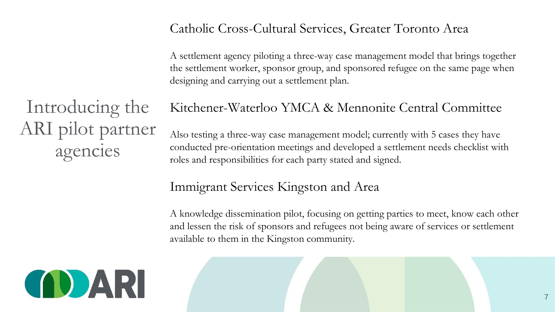### Catholic Cross-Cultural Services, Greater Toronto Area

A settlement agency piloting a three-way case management model that brings together the settlement worker, sponsor group, and sponsored refugee on the same page when designing and carrying out a settlement plan.

Introducing the ARI pilot partner agencies

### Kitchener-Waterloo YMCA & Mennonite Central Committee

Also testing a three-way case management model; currently with 5 cases they have conducted pre-orientation meetings and developed a settlement needs checklist with roles and responsibilities for each party stated and signed.

## Immigrant Services Kingston and Area

A knowledge dissemination pilot, focusing on getting parties to meet, know each other and lessen the risk of sponsors and refugees not being aware of services or settlement available to them in the Kingston community.

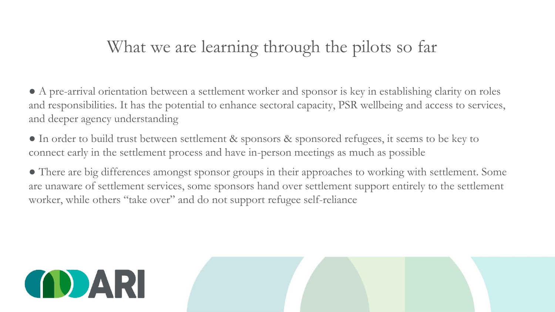# What we are learning through the pilots so far

● A pre-arrival orientation between a settlement worker and sponsor is key in establishing clarity on roles and responsibilities. It has the potential to enhance sectoral capacity, PSR wellbeing and access to services, and deeper agency understanding

● In order to build trust between settlement & sponsors & sponsored refugees, it seems to be key to connect early in the settlement process and have in-person meetings as much as possible

● There are big differences amongst sponsor groups in their approaches to working with settlement. Some are unaware of settlement services, some sponsors hand over settlement support entirely to the settlement worker, while others "take over" and do not support refugee self-reliance

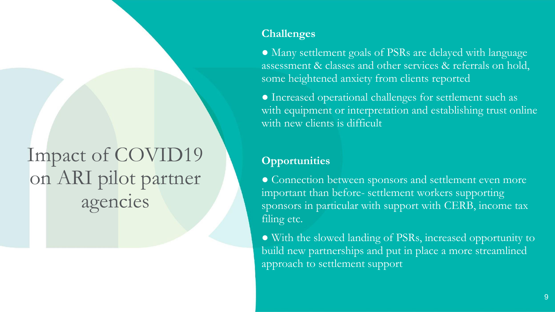# Impact of COVID19 on ARI pilot partner agencies

#### **Challenges**

● Many settlement goals of PSRs are delayed with language assessment & classes and other services & referrals on hold, some heightened anxiety from clients reported

● Increased operational challenges for settlement such as with equipment or interpretation and establishing trust online with new clients is difficult

#### **Opportunities**

● Connection between sponsors and settlement even more important than before- settlement workers supporting sponsors in particular with support with CERB, income tax filing etc.

● With the slowed landing of PSRs, increased opportunity to build new partnerships and put in place a more streamlined approach to settlement support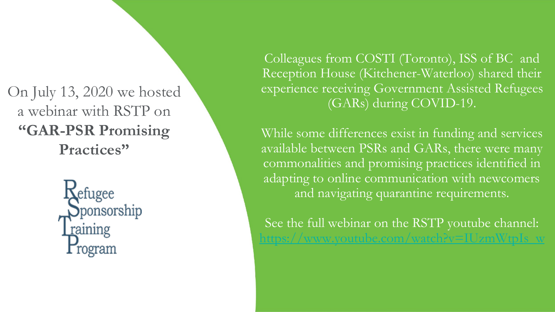## On July 13, 2020 we hosted a webinar with RSTP on **"GAR-PSR Promising Practices"**

Sefugee Sponsorship raining rogram

Colleagues from COSTI (Toronto), ISS of BC and Reception House (Kitchener-Waterloo) shared their experience receiving Government Assisted Refugees (GARs) during COVID-19.

While some differences exist in funding and services available between PSRs and GARs, there were many commonalities and promising practices identified in adapting to online communication with newcomers and navigating quarantine requirements.

See the full webinar on the RSTP youtube channel: www.youtube.com/watch?v=IUzmWtpIs\_w